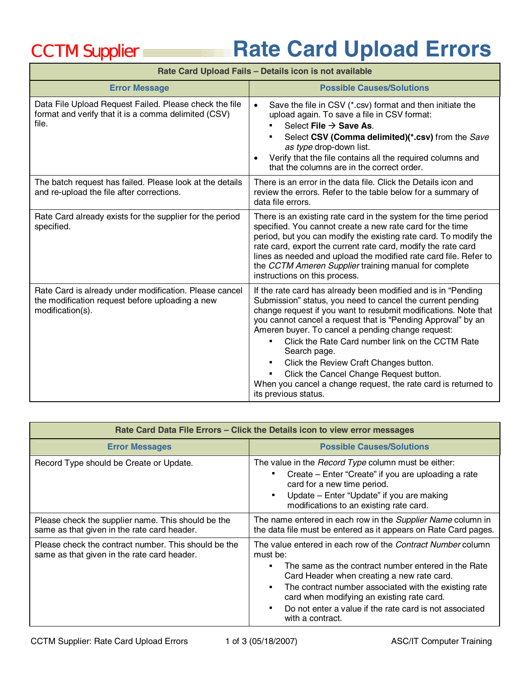## **CCTM Supplier Rate Card Upload Errors**

| Rate Card Upload Fails - Details icon is not available                                                                        |                                                                                                                                                                                                                                                                                                                                                                                                                                                                                                                                                                                                                              |  |
|-------------------------------------------------------------------------------------------------------------------------------|------------------------------------------------------------------------------------------------------------------------------------------------------------------------------------------------------------------------------------------------------------------------------------------------------------------------------------------------------------------------------------------------------------------------------------------------------------------------------------------------------------------------------------------------------------------------------------------------------------------------------|--|
| <b>Error Message</b>                                                                                                          | <b>Possible Causes/Solutions</b>                                                                                                                                                                                                                                                                                                                                                                                                                                                                                                                                                                                             |  |
| Data File Upload Request Failed. Please check the file<br>format and verify that it is a comma delimited (CSV)<br>file.       | Save the file in CSV (*.csv) format and then initiate the<br>$\bullet$<br>upload again. To save a file in CSV format:<br>Select File $\rightarrow$ Save As.<br>Select CSV (Comma delimited)(*.csv) from the Save<br>as type drop-down list.<br>Verify that the file contains all the required columns and<br>٠<br>that the columns are in the correct order.                                                                                                                                                                                                                                                                 |  |
| The batch request has failed. Please look at the details<br>and re-upload the file after corrections.                         | There is an error in the data file. Click the Details icon and<br>review the errors. Refer to the table below for a summary of<br>data file errors.                                                                                                                                                                                                                                                                                                                                                                                                                                                                          |  |
| Rate Card already exists for the supplier for the period<br>specified.                                                        | There is an existing rate card in the system for the time period<br>specified. You cannot create a new rate card for the time<br>period, but you can modify the existing rate card. To modify the<br>rate card, export the current rate card, modify the rate card<br>lines as needed and upload the modified rate card file. Refer to<br>the CCTM Ameren Supplier training manual for complete<br>instructions on this process.                                                                                                                                                                                             |  |
| Rate Card is already under modification. Please cancel<br>the modification request before uploading a new<br>modification(s). | If the rate card has already been modified and is in "Pending<br>Submission" status, you need to cancel the current pending<br>change request if you want to resubmit modifications. Note that<br>you cannot cancel a request that is "Pending Approval" by an<br>Ameren buyer. To cancel a pending change request:<br>Click the Rate Card number link on the CCTM Rate<br>$\blacksquare$<br>Search page.<br>Click the Review Craft Changes button.<br>$\blacksquare$<br>Click the Cancel Change Request button.<br>$\blacksquare$<br>When you cancel a change request, the rate card is returned to<br>its previous status. |  |

| Rate Card Data File Errors – Click the Details icon to view error messages                          |                                                                                                                                                                                                                                                                                                                                                                                             |  |
|-----------------------------------------------------------------------------------------------------|---------------------------------------------------------------------------------------------------------------------------------------------------------------------------------------------------------------------------------------------------------------------------------------------------------------------------------------------------------------------------------------------|--|
| <b>Error Messages</b>                                                                               | <b>Possible Causes/Solutions</b>                                                                                                                                                                                                                                                                                                                                                            |  |
| Record Type should be Create or Update.                                                             | The value in the <i>Record Type</i> column must be either:<br>Create – Enter "Create" if you are uploading a rate<br>card for a new time period.<br>Update - Enter "Update" if you are making<br>modifications to an existing rate card.                                                                                                                                                    |  |
| Please check the supplier name. This should be the<br>same as that given in the rate card header.   | The name entered in each row in the Supplier Name column in<br>the data file must be entered as it appears on Rate Card pages.                                                                                                                                                                                                                                                              |  |
| Please check the contract number. This should be the<br>same as that given in the rate card header. | The value entered in each row of the <i>Contract Number</i> column<br>must be:<br>The same as the contract number entered in the Rate<br>Card Header when creating a new rate card.<br>The contract number associated with the existing rate<br>$\blacksquare$<br>card when modifying an existing rate card.<br>Do not enter a value if the rate card is not associated<br>with a contract. |  |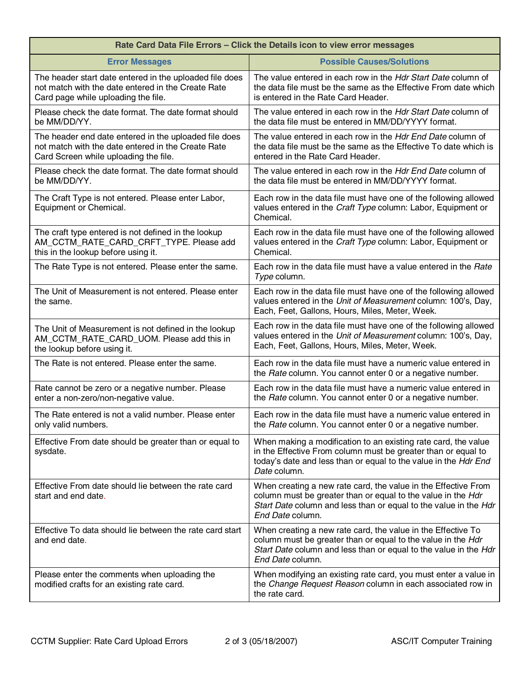| Rate Card Data File Errors - Click the Details icon to view error messages                                                                           |                                                                                                                                                                                                                        |  |
|------------------------------------------------------------------------------------------------------------------------------------------------------|------------------------------------------------------------------------------------------------------------------------------------------------------------------------------------------------------------------------|--|
| <b>Error Messages</b>                                                                                                                                | <b>Possible Causes/Solutions</b>                                                                                                                                                                                       |  |
| The header start date entered in the uploaded file does<br>not match with the date entered in the Create Rate<br>Card page while uploading the file. | The value entered in each row in the Hdr Start Date column of<br>the data file must be the same as the Effective From date which<br>is entered in the Rate Card Header.                                                |  |
| Please check the date format. The date format should<br>be MM/DD/YY.                                                                                 | The value entered in each row in the Hdr Start Date column of<br>the data file must be entered in MM/DD/YYYY format.                                                                                                   |  |
| The header end date entered in the uploaded file does<br>not match with the date entered in the Create Rate<br>Card Screen while uploading the file. | The value entered in each row in the Hdr End Date column of<br>the data file must be the same as the Effective To date which is<br>entered in the Rate Card Header.                                                    |  |
| Please check the date format. The date format should<br>be MM/DD/YY.                                                                                 | The value entered in each row in the Hdr End Date column of<br>the data file must be entered in MM/DD/YYYY format.                                                                                                     |  |
| The Craft Type is not entered. Please enter Labor,<br>Equipment or Chemical.                                                                         | Each row in the data file must have one of the following allowed<br>values entered in the Craft Type column: Labor, Equipment or<br>Chemical.                                                                          |  |
| The craft type entered is not defined in the lookup<br>AM_CCTM_RATE_CARD_CRFT_TYPE. Please add<br>this in the lookup before using it.                | Each row in the data file must have one of the following allowed<br>values entered in the Craft Type column: Labor, Equipment or<br>Chemical.                                                                          |  |
| The Rate Type is not entered. Please enter the same.                                                                                                 | Each row in the data file must have a value entered in the Rate<br>Type column.                                                                                                                                        |  |
| The Unit of Measurement is not entered. Please enter<br>the same.                                                                                    | Each row in the data file must have one of the following allowed<br>values entered in the Unit of Measurement column: 100's, Day,<br>Each, Feet, Gallons, Hours, Miles, Meter, Week.                                   |  |
| The Unit of Measurement is not defined in the lookup<br>AM_CCTM_RATE_CARD_UOM. Please add this in<br>the lookup before using it.                     | Each row in the data file must have one of the following allowed<br>values entered in the Unit of Measurement column: 100's, Day,<br>Each, Feet, Gallons, Hours, Miles, Meter, Week.                                   |  |
| The Rate is not entered. Please enter the same.                                                                                                      | Each row in the data file must have a numeric value entered in<br>the Rate column. You cannot enter 0 or a negative number.                                                                                            |  |
| Rate cannot be zero or a negative number. Please<br>enter a non-zero/non-negative value.                                                             | Each row in the data file must have a numeric value entered in<br>the Rate column. You cannot enter 0 or a negative number.                                                                                            |  |
| The Rate entered is not a valid number. Please enter<br>only valid numbers.                                                                          | Each row in the data file must have a numeric value entered in<br>the Rate column. You cannot enter 0 or a negative number.                                                                                            |  |
| Effective From date should be greater than or equal to<br>sysdate.                                                                                   | When making a modification to an existing rate card, the value<br>in the Effective From column must be greater than or equal to<br>today's date and less than or equal to the value in the Hdr End<br>Date column.     |  |
| Effective From date should lie between the rate card<br>start and end date.                                                                          | When creating a new rate card, the value in the Effective From<br>column must be greater than or equal to the value in the Hdr<br>Start Date column and less than or equal to the value in the Hdr<br>End Date column. |  |
| Effective To data should lie between the rate card start<br>and end date.                                                                            | When creating a new rate card, the value in the Effective To<br>column must be greater than or equal to the value in the Hdr<br>Start Date column and less than or equal to the value in the Hdr<br>End Date column.   |  |
| Please enter the comments when uploading the<br>modified crafts for an existing rate card.                                                           | When modifying an existing rate card, you must enter a value in<br>the Change Request Reason column in each associated row in<br>the rate card.                                                                        |  |